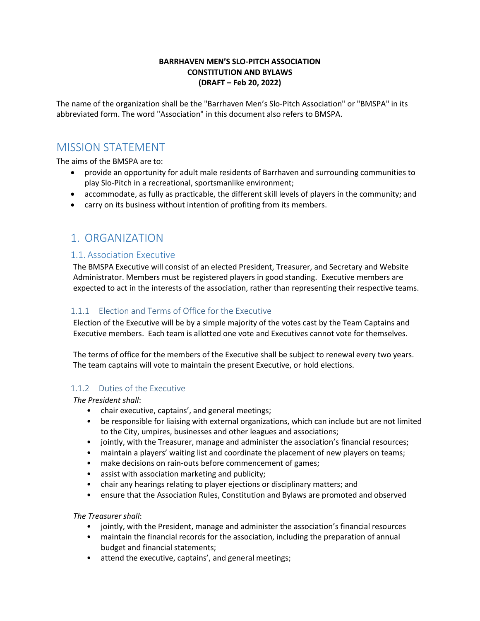#### **BARRHAVEN MEN'S SLO-PITCH ASSOCIATION CONSTITUTION AND BYLAWS (DRAFT – Feb 20, 2022)**

The name of the organization shall be the "Barrhaven Men's Slo-Pitch Association" or "BMSPA" in its abbreviated form. The word "Association" in this document also refers to BMSPA.

# MISSION STATEMENT

The aims of the BMSPA are to:

- provide an opportunity for adult male residents of Barrhaven and surrounding communities to play Slo-Pitch in a recreational, sportsmanlike environment;
- accommodate, as fully as practicable, the different skill levels of players in the community; and
- carry on its business without intention of profiting from its members.

# 1. ORGANIZATION

### 1.1. Association Executive

The BMSPA Executive will consist of an elected President, Treasurer, and Secretary and Website Administrator. Members must be registered players in good standing. Executive members are expected to act in the interests of the association, rather than representing their respective teams.

### 1.1.1 Election and Terms of Office for the Executive

Election of the Executive will be by a simple majority of the votes cast by the Team Captains and Executive members. Each team is allotted one vote and Executives cannot vote for themselves.

The terms of office for the members of the Executive shall be subject to renewal every two years. The team captains will vote to maintain the present Executive, or hold elections.

### 1.1.2 Duties of the Executive

*The President shall*:

- chair executive, captains', and general meetings;
- be responsible for liaising with external organizations, which can include but are not limited to the City, umpires, businesses and other leagues and associations;
- jointly, with the Treasurer, manage and administer the association's financial resources;
- maintain a players' waiting list and coordinate the placement of new players on teams;
- make decisions on rain-outs before commencement of games;
- assist with association marketing and publicity;
- chair any hearings relating to player ejections or disciplinary matters; and
- ensure that the Association Rules, Constitution and Bylaws are promoted and observed

#### *The Treasurer shall*:

- jointly, with the President, manage and administer the association's financial resources
- maintain the financial records for the association, including the preparation of annual budget and financial statements;
- attend the executive, captains', and general meetings;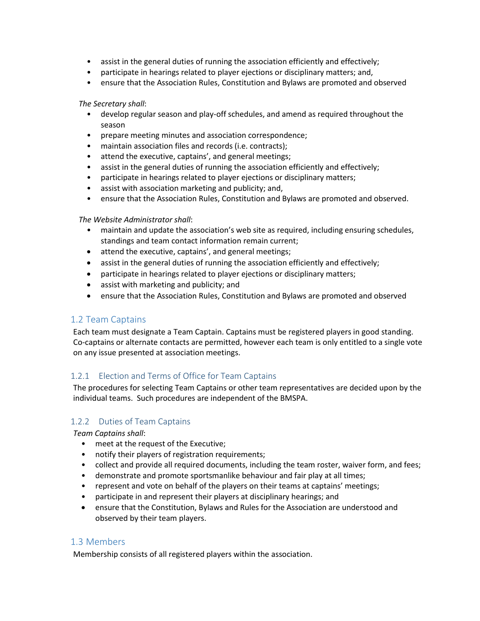- assist in the general duties of running the association efficiently and effectively;
- participate in hearings related to player ejections or disciplinary matters; and,
- ensure that the Association Rules, Constitution and Bylaws are promoted and observed

#### *The Secretary shall*:

- develop regular season and play-off schedules, and amend as required throughout the season
- prepare meeting minutes and association correspondence;
- maintain association files and records (i.e. contracts);
- attend the executive, captains', and general meetings;
- assist in the general duties of running the association efficiently and effectively;
- participate in hearings related to player ejections or disciplinary matters;
- assist with association marketing and publicity; and,
- ensure that the Association Rules, Constitution and Bylaws are promoted and observed.

### *The Website Administrator shall*:

- maintain and update the association's web site as required, including ensuring schedules, standings and team contact information remain current;
- attend the executive, captains', and general meetings;
- assist in the general duties of running the association efficiently and effectively;
- participate in hearings related to player ejections or disciplinary matters;
- assist with marketing and publicity; and
- ensure that the Association Rules, Constitution and Bylaws are promoted and observed

## 1.2 Team Captains

Each team must designate a Team Captain. Captains must be registered players in good standing. Co-captains or alternate contacts are permitted, however each team is only entitled to a single vote on any issue presented at association meetings.

## 1.2.1 Election and Terms of Office for Team Captains

The procedures for selecting Team Captains or other team representatives are decided upon by the individual teams. Such procedures are independent of the BMSPA.

## 1.2.2 Duties of Team Captains

*Team Captains shall*:

- meet at the request of the Executive;
- notify their players of registration requirements;
- collect and provide all required documents, including the team roster, waiver form, and fees;
- demonstrate and promote sportsmanlike behaviour and fair play at all times;
- represent and vote on behalf of the players on their teams at captains' meetings;
- participate in and represent their players at disciplinary hearings; and
- ensure that the Constitution, Bylaws and Rules for the Association are understood and observed by their team players.

## 1.3 Members

Membership consists of all registered players within the association.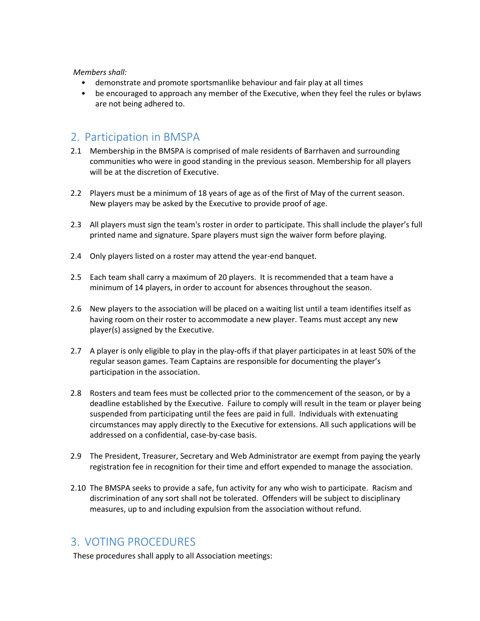#### *Members shall:*

- demonstrate and promote sportsmanlike behaviour and fair play at all times
- be encouraged to approach any member of the Executive, when they feel the rules or bylaws are not being adhered to.

# 2. Participation in BMSPA

- 2.1 Membership in the BMSPA is comprised of male residents of Barrhaven and surrounding communities who were in good standing in the previous season. Membership for all players will be at the discretion of Executive.
- 2.2 Players must be a minimum of 18 years of age as of the first of May of the current season. New players may be asked by the Executive to provide proof of age.
- 2.3 All players must sign the team's roster in order to participate. This shall include the player's full printed name and signature. Spare players must sign the waiver form before playing.
- 2.4 Only players listed on a roster may attend the year-end banquet.
- 2.5 Each team shall carry a maximum of 20 players. It is recommended that a team have a minimum of 14 players, in order to account for absences throughout the season.
- 2.6 New players to the association will be placed on a waiting list until a team identifies itself as having room on their roster to accommodate a new player. Teams must accept any new player(s) assigned by the Executive.
- 2.7 A player is only eligible to play in the play-offs if that player participates in at least 50% of the regular season games. Team Captains are responsible for documenting the player's participation in the association.
- 2.8 Rosters and team fees must be collected prior to the commencement of the season, or by a deadline established by the Executive. Failure to comply will result in the team or player being suspended from participating until the fees are paid in full. Individuals with extenuating circumstances may apply directly to the Executive for extensions. All such applications will be addressed on a confidential, case-by-case basis.
- 2.9 The President, Treasurer, Secretary and Web Administrator are exempt from paying the yearly registration fee in recognition for their time and effort expended to manage the association.
- 2.10 The BMSPA seeks to provide a safe, fun activity for any who wish to participate. Racism and discrimination of any sort shall not be tolerated. Offenders will be subject to disciplinary measures, up to and including expulsion from the association without refund.

# 3. VOTING PROCEDURES

These procedures shall apply to all Association meetings: